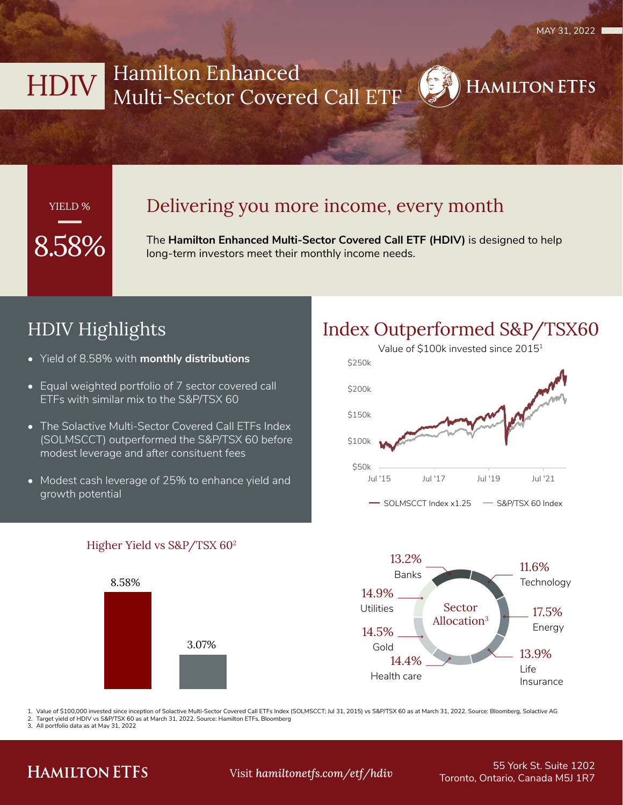**HAMILTON ETFS** 

# HDIV Hamilton Enhanced Multi-Sector Covered Call ETF

### YIELD %

### Delivering you more income, every month

The **Hamilton Enhanced Multi-Sector Covered Call ETF (HDIV)** is designed to help long-term investors meet their monthly income needs.

## HDIV Highlights

- Yield of 8.58% with **monthly distributions**
- Equal weighted portfolio of 7 sector covered call ETFs with similar mix to the S&P/TSX 60
- The Solactive Multi-Sector Covered Call ETFs Index (SOLMSCCT) outperformed the S&P/TSX 60 before modest leverage and after consituent fees
- Modest cash leverage of 25% to enhance yield and growth potential





### Higher Yield vs S&P/TSX 602

3.07%

8.58%

1. Value of \$100,000 invested since inception of Solactive Multi-Sector Covered Call ETFs Index (SOLMSCCT; Jul 31, 2015) vs S&P/TSX 60 as at March 31, 2022. Source: Bloomberg, Solactive AG

Target yield of HDIV vs S&P/TSX 60 as at March 31, 2022. Source: Hamilton ETFs, Bloomberg

3. All portfolio data as at May 31, 2022

### **HAMILTON ETFS**

55 York St. Suite 1202 Toronto, Ontario, Canada M5J 1R7 Visit *hamiltonetfs.com/etf/hdiv*